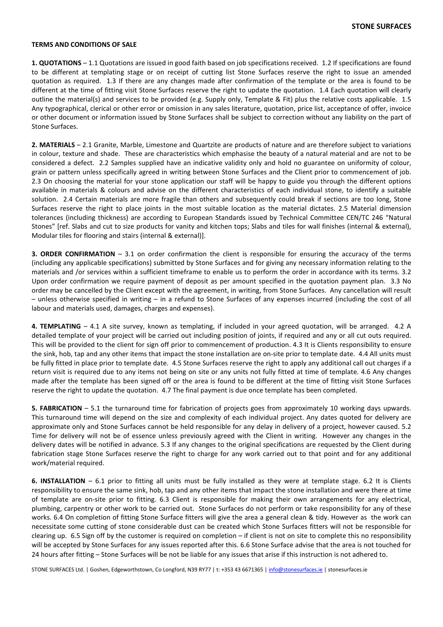## TERMS AND CONDITIONS OF SALE

1. QUOTATIONS – 1.1 Quotations are issued in good faith based on job specifications received. 1.2 If specifications are found to be different at templating stage or on receipt of cutting list Stone Surfaces reserve the right to issue an amended quotation as required. 1.3 If there are any changes made after confirmation of the template or the area is found to be different at the time of fitting visit Stone Surfaces reserve the right to update the quotation. 1.4 Each quotation will clearly outline the material(s) and services to be provided (e.g. Supply only, Template & Fit) plus the relative costs applicable. 1.5 Any typographical, clerical or other error or omission in any sales literature, quotation, price list, acceptance of offer, invoice or other document or information issued by Stone Surfaces shall be subject to correction without any liability on the part of Stone Surfaces.

2. MATERIALS – 2.1 Granite, Marble, Limestone and Quartzite are products of nature and are therefore subject to variations in colour, texture and shade. These are characteristics which emphasise the beauty of a natural material and are not to be considered a defect. 2.2 Samples supplied have an indicative validity only and hold no guarantee on uniformity of colour, grain or pattern unless specifically agreed in writing between Stone Surfaces and the Client prior to commencement of job. 2.3 On choosing the material for your stone application our staff will be happy to guide you through the different options available in materials & colours and advise on the different characteristics of each individual stone, to identify a suitable solution. 2.4 Certain materials are more fragile than others and subsequently could break if sections are too long, Stone Surfaces reserve the right to place joints in the most suitable location as the material dictates. 2.5 Material dimension tolerances (including thickness) are according to European Standards issued by Technical Committee CEN/TC 246 "Natural Stones" [ref. Slabs and cut to size products for vanity and kitchen tops; Slabs and tiles for wall finishes (internal & external), Modular tiles for flooring and stairs (internal & external)].

3. ORDER CONFIRMATION – 3.1 on order confirmation the client is responsible for ensuring the accuracy of the terms (including any applicable specifications) submitted by Stone Surfaces and for giving any necessary information relating to the materials and /or services within a sufficient timeframe to enable us to perform the order in accordance with its terms. 3.2 Upon order confirmation we require payment of deposit as per amount specified in the quotation payment plan. 3.3 No order may be cancelled by the Client except with the agreement, in writing, from Stone Surfaces. Any cancellation will result – unless otherwise specified in writing – in a refund to Stone Surfaces of any expenses incurred (including the cost of all labour and materials used, damages, charges and expenses).

4. TEMPLATING – 4.1 A site survey, known as templating, if included in your agreed quotation, will be arranged. 4.2 A detailed template of your project will be carried out including position of joints, if required and any or all cut outs required. This will be provided to the client for sign off prior to commencement of production. 4.3 It is Clients responsibility to ensure the sink, hob, tap and any other items that impact the stone installation are on-site prior to template date. 4.4 All units must be fully fitted in place prior to template date. 4.5 Stone Surfaces reserve the right to apply any additional call out charges if a return visit is required due to any items not being on site or any units not fully fitted at time of template. 4.6 Any changes made after the template has been signed off or the area is found to be different at the time of fitting visit Stone Surfaces reserve the right to update the quotation. 4.7 The final payment is due once template has been completed.

5. FABRICATION – 5.1 the turnaround time for fabrication of projects goes from approximately 10 working days upwards. This turnaround time will depend on the size and complexity of each individual project. Any dates quoted for delivery are approximate only and Stone Surfaces cannot be held responsible for any delay in delivery of a project, however caused. 5.2 Time for delivery will not be of essence unless previously agreed with the Client in writing. However any changes in the delivery dates will be notified in advance. 5.3 If any changes to the original specifications are requested by the Client during fabrication stage Stone Surfaces reserve the right to charge for any work carried out to that point and for any additional work/material required.

6. INSTALLATION – 6.1 prior to fitting all units must be fully installed as they were at template stage. 6.2 It is Clients responsibility to ensure the same sink, hob, tap and any other items that impact the stone installation and were there at time of template are on-site prior to fitting. 6.3 Client is responsible for making their own arrangements for any electrical, plumbing, carpentry or other work to be carried out. Stone Surfaces do not perform or take responsibility for any of these works. 6.4 On completion of fitting Stone Surface fitters will give the area a general clean & tidy. However as the work can necessitate some cutting of stone considerable dust can be created which Stone Surfaces fitters will not be responsible for clearing up. 6.5 Sign off by the customer is required on completion – if client is not on site to complete this no responsibility will be accepted by Stone Surfaces for any issues reported after this. 6.6 Stone Surface advise that the area is not touched for 24 hours after fitting – Stone Surfaces will be not be liable for any issues that arise if this instruction is not adhered to.

STONE SURFACES Ltd. | Goshen, Edgeworthstown, Co Longford, N39 RY77 | t: +353 43 6671365 | info@stonesurfaces.ie | stonesurfaces.ie